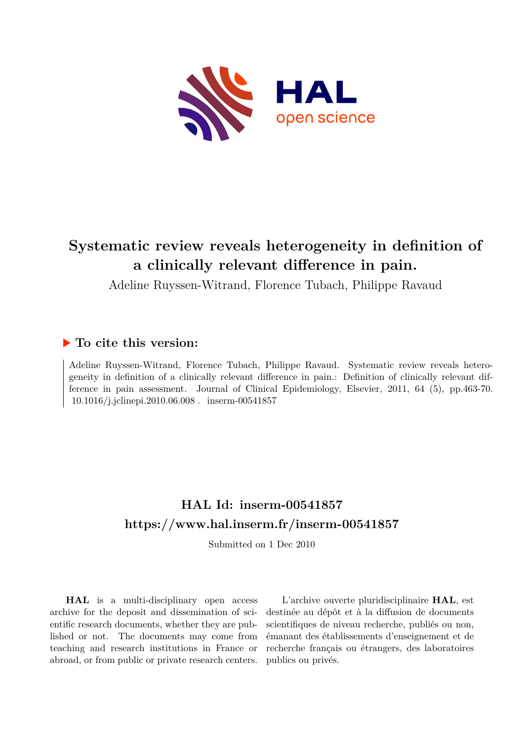

# **Systematic review reveals heterogeneity in definition of a clinically relevant difference in pain.**

Adeline Ruyssen-Witrand, Florence Tubach, Philippe Ravaud

## **To cite this version:**

Adeline Ruyssen-Witrand, Florence Tubach, Philippe Ravaud. Systematic review reveals heterogeneity in definition of a clinically relevant difference in pain.: Definition of clinically relevant difference in pain assessment. Journal of Clinical Epidemiology, Elsevier, 2011, 64 (5), pp.463-70.  $10.1016/j.jclinepi.2010.06.008$ . inserm-00541857

## **HAL Id: inserm-00541857 <https://www.hal.inserm.fr/inserm-00541857>**

Submitted on 1 Dec 2010

**HAL** is a multi-disciplinary open access archive for the deposit and dissemination of scientific research documents, whether they are published or not. The documents may come from teaching and research institutions in France or abroad, or from public or private research centers.

L'archive ouverte pluridisciplinaire **HAL**, est destinée au dépôt et à la diffusion de documents scientifiques de niveau recherche, publiés ou non, émanant des établissements d'enseignement et de recherche français ou étrangers, des laboratoires publics ou privés.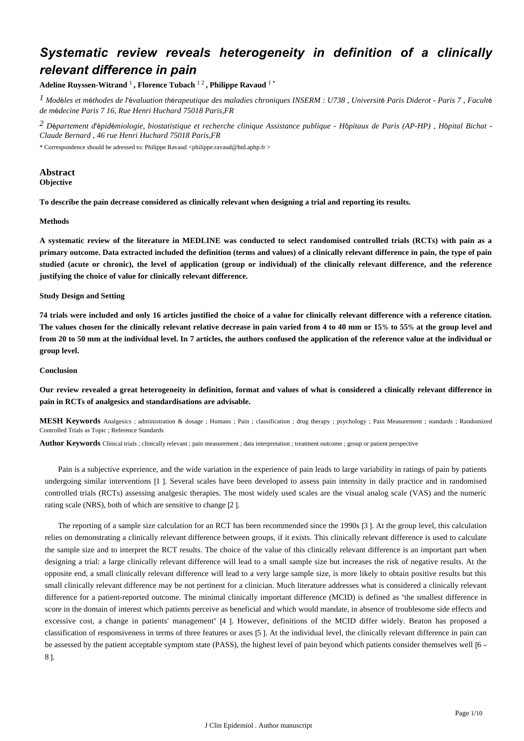## *Systematic review reveals heterogeneity in definition of a clinically relevant difference in pain*

**Adeline Ruyssen-Witrand** <sup>1</sup> **, Florence Tubach** 1 2 **, Philippe Ravaud** 1 \*

*Mod les et m thodes de l valuation th rapeutique des maladies chroniques 1* <sup>è</sup> <sup>é</sup> 'é <sup>é</sup> *INSERM : U738 , Universit*é *Paris Diderot - Paris 7 , Facult*<sup>é</sup> *de m*é*decine Paris 7 16, Rue Henri Huchard 75018 Paris,FR*

*D partement d pid miologie, biostatistique et recherche clinique 2* <sup>é</sup> 'é <sup>é</sup> *Assistance publique - H*ô*pitaux de Paris (AP-HP) , H*ô*pital Bichat - Claude Bernard , 46 rue Henri Huchard 75018 Paris,FR*

\* Correspondence should be adressed to: Philippe Ravaud <philippe.ravaud@htd.aphp.fr >

## **Abstract Objective**

**To describe the pain decrease considered as clinically relevant when designing a trial and reporting its results.**

## **Methods**

**A systematic review of the literature in MEDLINE was conducted to select randomised controlled trials (RCTs) with pain as a primary outcome. Data extracted included the definition (terms and values) of a clinically relevant difference in pain, the type of pain studied (acute or chronic), the level of application (group or individual) of the clinically relevant difference, and the reference justifying the choice of value for clinically relevant difference.**

### **Study Design and Setting**

**74 trials were included and only 16 articles justified the choice of a value for clinically relevant difference with a reference citation. The values chosen for the clinically relevant relative decrease in pain varied from 4 to 40 mm or 15**% **to 55**% **at the group level and from 20 to 50 mm at the individual level. In 7 articles, the authors confused the application of the reference value at the individual or group level.**

#### **Conclusion**

**Our review revealed a great heterogeneity in definition, format and values of what is considered a clinically relevant difference in pain in RCTs of analgesics and standardisations are advisable.**

**MESH Keywords** Analgesics ; administration & dosage ; Humans ; Pain ; classification ; drug therapy ; psychology ; Pain Measurement ; standards ; Randomized Controlled Trials as Topic ; Reference Standards

**Author Keywords** Clinical trials ; clinically relevant ; pain measurement ; data interpretation ; treatment outcome ; group or patient perspective

Pain is a subjective experience, and the wide variation in the experience of pain leads to large variability in ratings of pain by patients undergoing similar interventions [1 ]. Several scales have been developed to assess pain intensity in daily practice and in randomised controlled trials (RCTs) assessing analgesic therapies. The most widely used scales are the visual analog scale (VAS) and the numeric rating scale (NRS), both of which are sensitive to change [2 ].

The reporting of a sample size calculation for an RCT has been recommended since the 1990s [3 ]. At the group level, this calculation relies on demonstrating a clinically relevant difference between groups, if it exists. This clinically relevant difference is used to calculate the sample size and to interpret the RCT results. The choice of the value of this clinically relevant difference is an important part when designing a trial: a large clinically relevant difference will lead to a small sample size but increases the risk of negative results. At the opposite end, a small clinically relevant difference will lead to a very large sample size, is more likely to obtain positive results but this small clinically relevant difference may be not pertinent for a clinician. Much literature addresses what is considered a clinically relevant difference for a patient-reported outcome. The minimal clinically important difference (MCID) is defined as "the smallest difference in score in the domain of interest which patients perceive as beneficial and which would mandate, in absence of troublesome side effects and excessive cost, a change in patients' management" [4 ]. However, definitions of the MCID differ widely. Beaton has proposed a classification of responsiveness in terms of three features or axes [5 ]. At the individual level, the clinically relevant difference in pain can be assessed by the patient acceptable symptom state (PASS), the highest level of pain beyond which patients consider themselves well [6 – 8 ].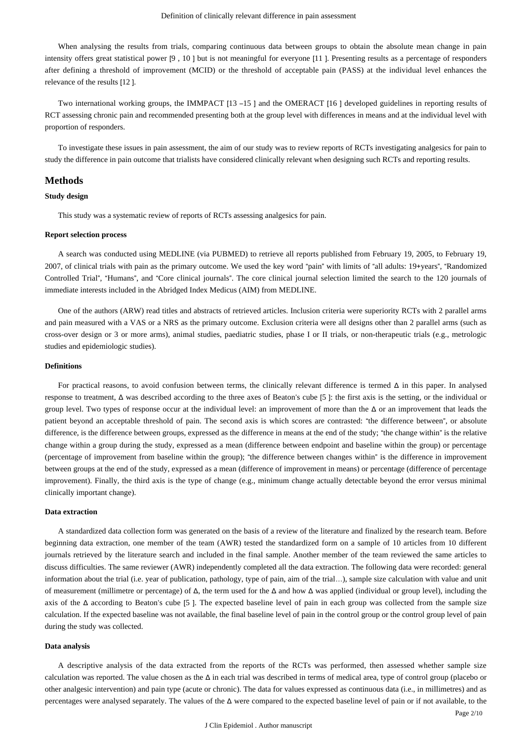When analysing the results from trials, comparing continuous data between groups to obtain the absolute mean change in pain intensity offers great statistical power [9 , 10 ] but is not meaningful for everyone [11 ]. Presenting results as a percentage of responders after defining a threshold of improvement (MCID) or the threshold of acceptable pain (PASS) at the individual level enhances the relevance of the results [12 ].

Two international working groups, the IMMPACT [13 –15 ] and the OMERACT [16 ] developed guidelines in reporting results of RCT assessing chronic pain and recommended presenting both at the group level with differences in means and at the individual level with proportion of responders.

To investigate these issues in pain assessment, the aim of our study was to review reports of RCTs investigating analgesics for pain to study the difference in pain outcome that trialists have considered clinically relevant when designing such RCTs and reporting results.

### **Methods**

## **Study design**

This study was a systematic review of reports of RCTs assessing analgesics for pain.

#### **Report selection process**

A search was conducted using MEDLINE (via PUBMED) to retrieve all reports published from February 19, 2005, to February 19, 2007, of clinical trials with pain as the primary outcome. We used the key word "pain" with limits of "all adults: 19+years", "Randomized Controlled Trial", "Humans", and "Core clinical journals". The core clinical journal selection limited the search to the 120 journals of immediate interests included in the Abridged Index Medicus (AIM) from MEDLINE.

One of the authors (ARW) read titles and abstracts of retrieved articles. Inclusion criteria were superiority RCTs with 2 parallel arms and pain measured with a VAS or a NRS as the primary outcome. Exclusion criteria were all designs other than 2 parallel arms (such as cross-over design or 3 or more arms), animal studies, paediatric studies, phase I or II trials, or non-therapeutic trials (e.g., metrologic studies and epidemiologic studies).

#### **Definitions**

For practical reasons, to avoid confusion between terms, the clinically relevant difference is termed Δ in this paper. In analysed response to treatment, Δ was described according to the three axes of Beaton's cube [5 ]: the first axis is the setting, or the individual or group level. Two types of response occur at the individual level: an improvement of more than the Δ or an improvement that leads the patient beyond an acceptable threshold of pain. The second axis is which scores are contrasted: "the difference between", or absolute difference, is the difference between groups, expressed as the difference in means at the end of the study; "the change within" is the relative change within a group during the study, expressed as a mean (difference between endpoint and baseline within the group) or percentage (percentage of improvement from baseline within the group); "the difference between changes within" is the difference in improvement between groups at the end of the study, expressed as a mean (difference of improvement in means) or percentage (difference of percentage improvement). Finally, the third axis is the type of change (e.g., minimum change actually detectable beyond the error versus minimal clinically important change).

#### **Data extraction**

A standardized data collection form was generated on the basis of a review of the literature and finalized by the research team. Before beginning data extraction, one member of the team (AWR) tested the standardized form on a sample of 10 articles from 10 different journals retrieved by the literature search and included in the final sample. Another member of the team reviewed the same articles to discuss difficulties. The same reviewer (AWR) independently completed all the data extraction. The following data were recorded: general information about the trial (i.e. year of publication, pathology, type of pain, aim of the trial…), sample size calculation with value and unit of measurement (millimetre or percentage) of Δ, the term used for the Δ and how Δ was applied (individual or group level), including the axis of the  $\Delta$  according to Beaton's cube [5]. The expected baseline level of pain in each group was collected from the sample size calculation. If the expected baseline was not available, the final baseline level of pain in the control group or the control group level of pain during the study was collected.

#### **Data analysis**

A descriptive analysis of the data extracted from the reports of the RCTs was performed, then assessed whether sample size calculation was reported. The value chosen as the  $\Delta$  in each trial was described in terms of medical area, type of control group (placebo or other analgesic intervention) and pain type (acute or chronic). The data for values expressed as continuous data (i.e., in millimetres) and as percentages were analysed separately. The values of the Δ were compared to the expected baseline level of pain or if not available, to the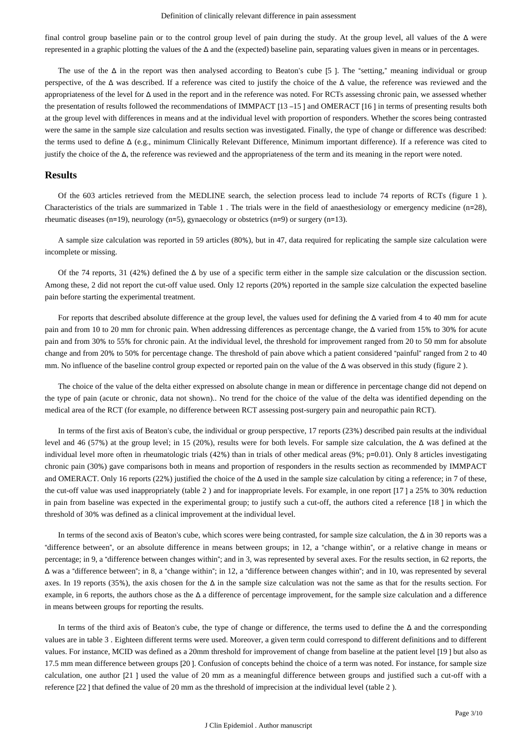final control group baseline pain or to the control group level of pain during the study. At the group level, all values of the Δ were represented in a graphic plotting the values of the Δ and the (expected) baseline pain, separating values given in means or in percentages.

The use of the  $\Delta$  in the report was then analysed according to Beaton's cube [5]. The "setting," meaning individual or group perspective, of the Δ was described. If a reference was cited to justify the choice of the Δ value, the reference was reviewed and the appropriateness of the level for Δ used in the report and in the reference was noted. For RCTs assessing chronic pain, we assessed whether the presentation of results followed the recommendations of IMMPACT [13 –15 ] and OMERACT [16 ] in terms of presenting results both at the group level with differences in means and at the individual level with proportion of responders. Whether the scores being contrasted were the same in the sample size calculation and results section was investigated. Finally, the type of change or difference was described: the terms used to define Δ (e.g., minimum Clinically Relevant Difference, Minimum important difference). If a reference was cited to justify the choice of the Δ, the reference was reviewed and the appropriateness of the term and its meaning in the report were noted.

#### **Results**

Of the 603 articles retrieved from the MEDLINE search, the selection process lead to include 74 reports of RCTs (figure 1 ). Characteristics of the trials are summarized in Table 1 . The trials were in the field of anaesthesiology or emergency medicine (n=28), rheumatic diseases (n=19), neurology (n=5), gynaecology or obstetrics (n=9) or surgery (n=13).

A sample size calculation was reported in 59 articles (80%), but in 47, data required for replicating the sample size calculation were incomplete or missing.

Of the 74 reports, 31 (42%) defined the  $\Delta$  by use of a specific term either in the sample size calculation or the discussion section. Among these, 2 did not report the cut-off value used. Only 12 reports (20%) reported in the sample size calculation the expected baseline pain before starting the experimental treatment.

For reports that described absolute difference at the group level, the values used for defining the Δ varied from 4 to 40 mm for acute pain and from 10 to 20 mm for chronic pain. When addressing differences as percentage change, the Δ varied from 15% to 30% for acute pain and from 30% to 55% for chronic pain. At the individual level, the threshold for improvement ranged from 20 to 50 mm for absolute change and from 20% to 50% for percentage change. The threshold of pain above which a patient considered "painful" ranged from 2 to 40 mm. No influence of the baseline control group expected or reported pain on the value of the Δ was observed in this study (figure 2).

The choice of the value of the delta either expressed on absolute change in mean or difference in percentage change did not depend on the type of pain (acute or chronic, data not shown).. No trend for the choice of the value of the delta was identified depending on the medical area of the RCT (for example, no difference between RCT assessing post-surgery pain and neuropathic pain RCT).

In terms of the first axis of Beaton's cube, the individual or group perspective, 17 reports (23%) described pain results at the individual level and 46 (57%) at the group level; in 15 (20%), results were for both levels. For sample size calculation, the Δ was defined at the individual level more often in rheumatologic trials (42%) than in trials of other medical areas (9%; p=0.01). Only 8 articles investigating chronic pain (30%) gave comparisons both in means and proportion of responders in the results section as recommended by IMMPACT and OMERACT. Only 16 reports (22%) justified the choice of the  $\Delta$  used in the sample size calculation by citing a reference; in 7 of these, the cut-off value was used inappropriately (table 2 ) and for inappropriate levels. For example, in one report [17 ] a 25% to 30% reduction in pain from baseline was expected in the experimental group; to justify such a cut-off, the authors cited a reference [18 ] in which the threshold of 30% was defined as a clinical improvement at the individual level.

In terms of the second axis of Beaton's cube, which scores were being contrasted, for sample size calculation, the Δ in 30 reports was a "difference between", or an absolute difference in means between groups; in 12, a "change within", or a relative change in means or percentage; in 9, a "difference between changes within"; and in 3, was represented by several axes. For the results section, in 62 reports, the Δ was a "difference between"; in 8, a "change within"; in 12, a "difference between changes within"; and in 10, was represented by several axes. In 19 reports (35%), the axis chosen for the  $\Delta$  in the sample size calculation was not the same as that for the results section. For example, in 6 reports, the authors chose as the Δ a difference of percentage improvement, for the sample size calculation and a difference in means between groups for reporting the results.

In terms of the third axis of Beaton's cube, the type of change or difference, the terms used to define the Δ and the corresponding values are in table 3 . Eighteen different terms were used. Moreover, a given term could correspond to different definitions and to different values. For instance, MCID was defined as a 20mm threshold for improvement of change from baseline at the patient level [19 ] but also as 17.5 mm mean difference between groups [20 ]. Confusion of concepts behind the choice of a term was noted. For instance, for sample size calculation, one author [21 ] used the value of 20 mm as a meaningful difference between groups and justified such a cut-off with a reference [22 ] that defined the value of 20 mm as the threshold of imprecision at the individual level (table 2 ).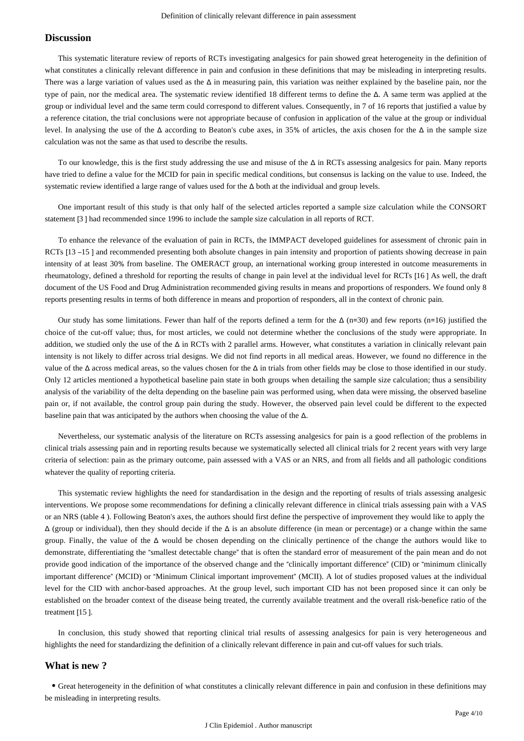#### **Discussion**

This systematic literature review of reports of RCTs investigating analgesics for pain showed great heterogeneity in the definition of what constitutes a clinically relevant difference in pain and confusion in these definitions that may be misleading in interpreting results. There was a large variation of values used as the  $\Delta$  in measuring pain, this variation was neither explained by the baseline pain, nor the type of pain, nor the medical area. The systematic review identified 18 different terms to define the Δ. A same term was applied at the group or individual level and the same term could correspond to different values. Consequently, in 7 of 16 reports that justified a value by a reference citation, the trial conclusions were not appropriate because of confusion in application of the value at the group or individual level. In analysing the use of the Δ according to Beaton's cube axes, in 35% of articles, the axis chosen for the Δ in the sample size calculation was not the same as that used to describe the results.

To our knowledge, this is the first study addressing the use and misuse of the  $\Delta$  in RCTs assessing analgesics for pain. Many reports have tried to define a value for the MCID for pain in specific medical conditions, but consensus is lacking on the value to use. Indeed, the systematic review identified a large range of values used for the Δ both at the individual and group levels.

One important result of this study is that only half of the selected articles reported a sample size calculation while the CONSORT statement [3 ] had recommended since 1996 to include the sample size calculation in all reports of RCT.

To enhance the relevance of the evaluation of pain in RCTs, the IMMPACT developed guidelines for assessment of chronic pain in RCTs [13 –15 ] and recommended presenting both absolute changes in pain intensity and proportion of patients showing decrease in pain intensity of at least 30% from baseline. The OMERACT group, an international working group interested in outcome measurements in rheumatology, defined a threshold for reporting the results of change in pain level at the individual level for RCTs [16 ] As well, the draft document of the US Food and Drug Administration recommended giving results in means and proportions of responders. We found only 8 reports presenting results in terms of both difference in means and proportion of responders, all in the context of chronic pain.

Our study has some limitations. Fewer than half of the reports defined a term for the  $\Delta$  (n=30) and few reports (n=16) justified the choice of the cut-off value; thus, for most articles, we could not determine whether the conclusions of the study were appropriate. In addition, we studied only the use of the Δ in RCTs with 2 parallel arms. However, what constitutes a variation in clinically relevant pain intensity is not likely to differ across trial designs. We did not find reports in all medical areas. However, we found no difference in the value of the  $\Delta$  across medical areas, so the values chosen for the  $\Delta$  in trials from other fields may be close to those identified in our study. Only 12 articles mentioned a hypothetical baseline pain state in both groups when detailing the sample size calculation; thus a sensibility analysis of the variability of the delta depending on the baseline pain was performed using, when data were missing, the observed baseline pain or, if not available, the control group pain during the study. However, the observed pain level could be different to the expected baseline pain that was anticipated by the authors when choosing the value of the  $\Delta$ .

Nevertheless, our systematic analysis of the literature on RCTs assessing analgesics for pain is a good reflection of the problems in clinical trials assessing pain and in reporting results because we systematically selected all clinical trials for 2 recent years with very large criteria of selection: pain as the primary outcome, pain assessed with a VAS or an NRS, and from all fields and all pathologic conditions whatever the quality of reporting criteria.

This systematic review highlights the need for standardisation in the design and the reporting of results of trials assessing analgesic interventions. We propose some recommendations for defining a clinically relevant difference in clinical trials assessing pain with a VAS or an NRS (table 4 ). Following Beaton's axes, the authors should first define the perspective of improvement they would like to apply the  $\Delta$  (group or individual), then they should decide if the  $\Delta$  is an absolute difference (in mean or percentage) or a change within the same group. Finally, the value of the Δ would be chosen depending on the clinically pertinence of the change the authors would like to demonstrate, differentiating the "smallest detectable change" that is often the standard error of measurement of the pain mean and do not provide good indication of the importance of the observed change and the "clinically important difference" (CID) or "minimum clinically important difference" (MCID) or "Minimum Clinical important improvement" (MCII). A lot of studies proposed values at the individual level for the CID with anchor-based approaches. At the group level, such important CID has not been proposed since it can only be established on the broader context of the disease being treated, the currently available treatment and the overall risk-benefice ratio of the treatment [15 ].

In conclusion, this study showed that reporting clinical trial results of assessing analgesics for pain is very heterogeneous and highlights the need for standardizing the definition of a clinically relevant difference in pain and cut-off values for such trials.

## **What is new ?**

Great heterogeneity in the definition of what constitutes a clinically relevant difference in pain and confusion in these definitions may be misleading in interpreting results.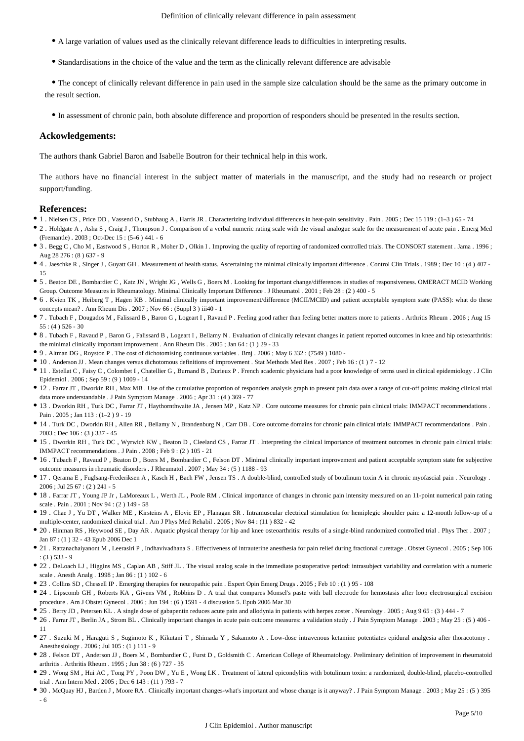- A large variation of values used as the clinically relevant difference leads to difficulties in interpreting results.
- Standardisations in the choice of the value and the term as the clinically relevant difference are advisable

The concept of clinically relevant difference in pain used in the sample size calculation should be the same as the primary outcome in the result section.

In assessment of chronic pain, both absolute difference and proportion of responders should be presented in the results section.

#### **Ackowledgements:**

The authors thank Gabriel Baron and Isabelle Boutron for their technical help in this work.

The authors have no financial interest in the subject matter of materials in the manuscript, and the study had no research or project support/funding.

#### **References:**

- 1 . Nielsen CS , Price DD , Vassend O , Stubhaug A , Harris JR . Characterizing individual differences in heat-pain sensitivity . Pain . 2005 ; Dec 15 119 : (1–3 ) 65 74
- 2 . Holdgate A , Asha S , Craig J , Thompson J . Comparison of a verbal numeric rating scale with the visual analogue scale for the measurement of acute pain . Emerg Med (Fremantle) . 2003 ; Oct-Dec 15 : (5–6 ) 441 - 6
- 3 . Begg C , Cho M , Eastwood S , Horton R , Moher D , Olkin I . Improving the quality of reporting of randomized controlled trials. The CONSORT statement . Jama . 1996 ; Aug 28 276 : (8 ) 637 - 9
- 4 . Jaeschke R , Singer J , Guyatt GH . Measurement of health status. Ascertaining the minimal clinically important difference . Control Clin Trials . 1989 ; Dec 10 : (4 ) 407 15
- 5 . Beaton DE , Bombardier C , Katz JN , Wright JG , Wells G , Boers M . Looking for important change/differences in studies of responsiveness. OMERACT MCID Working Group. Outcome Measures in Rheumatology. Minimal Clinically Important Difference . J Rheumatol . 2001 ; Feb 28 : (2 ) 400 - 5
- 6 . Kvien TK , Heiberg T , Hagen KB . Minimal clinically important improvement/difference (MCII/MCID) and patient acceptable symptom state (PASS): what do these concepts mean? . Ann Rheum Dis . 2007 ; Nov 66 : (Suppl 3 ) iii40 - 1
- 7 . Tubach F , Dougados M , Falissard B , Baron G , Logeart I , Ravaud P . Feeling good rather than feeling better matters more to patients . Arthritis Rheum . 2006 ; Aug 15  $55 : (4) 526 - 30$
- 8 . Tubach F , Ravaud P , Baron G , Falissard B , Logeart I , Bellamy N . Evaluation of clinically relevant changes in patient reported outcomes in knee and hip osteoarthritis: the minimal clinically important improvement . Ann Rheum Dis . 2005 ; Jan 64 : (1 ) 29 - 33
- 9 . Altman DG , Royston P . The cost of dichotomising continuous variables . Bmj . 2006 ; May 6 332 : (7549 ) 1080 -
- 10 . Anderson JJ . Mean changes versus dichotomous definitions of improvement . Stat Methods Med Res . 2007 ; Feb 16 : (1 ) 7 12
- 11 . Estellat C , Faisy C , Colombet I , Chatellier G , Burnand B , Durieux P . French academic physicians had a poor knowledge of terms used in clinical epidemiology . J Clin Epidemiol . 2006 ; Sep 59 : (9 ) 1009 - 14
- 12 . Farrar JT , Dworkin RH , Max MB . Use of the cumulative proportion of responders analysis graph to present pain data over a range of cut-off points: making clinical trial data more understandable . J Pain Symptom Manage . 2006 ; Apr 31 : (4 ) 369 - 77
- 13 . Dworkin RH , Turk DC , Farrar JT , Haythornthwaite JA , Jensen MP , Katz NP . Core outcome measures for chronic pain clinical trials: IMMPACT recommendations . Pain . 2005 ; Jan 113 : (1–2 ) 9 - 19
- 14 . Turk DC , Dworkin RH , Allen RR , Bellamy N , Brandenburg N , Carr DB . Core outcome domains for chronic pain clinical trials: IMMPACT recommendations . Pain . 2003 ; Dec 106 : (3 ) 337 - 45
- 15 . Dworkin RH , Turk DC , Wyrwich KW , Beaton D , Cleeland CS , Farrar JT . Interpreting the clinical importance of treatment outcomes in chronic pain clinical trials: IMMPACT recommendations . J Pain . 2008 ; Feb 9 : (2 ) 105 - 21
- 16 . Tubach F , Ravaud P , Beaton D , Boers M , Bombardier C , Felson DT . Minimal clinically important improvement and patient acceptable symptom state for subjective outcome measures in rheumatic disorders . J Rheumatol . 2007 ; May 34 : (5 ) 1188 - 93
- 17 . Qerama E , Fuglsang-Frederiksen A , Kasch H , Bach FW , Jensen TS . A double-blind, controlled study of botulinum toxin A in chronic myofascial pain . Neurology . 2006 ; Jul 25 67 : (2 ) 241 - 5
- 18 . Farrar JT , Young JP Jr , LaMoreaux L , Werth JL , Poole RM . Clinical importance of changes in chronic pain intensity measured on an 11-point numerical pain rating scale . Pain . 2001 ; Nov 94 : (2 ) 149 - 58
- 19 . Chae J , Yu DT , Walker ME , Kirsteins A , Elovic EP , Flanagan SR . Intramuscular electrical stimulation for hemiplegic shoulder pain: a 12-month follow-up of a multiple-center, randomized clinical trial . Am J Phys Med Rehabil . 2005 ; Nov 84 : (11 ) 832 - 42
- 20 . Hinman RS , Heywood SE , Day AR . Aquatic physical therapy for hip and knee osteoarthritis: results of a single-blind randomized controlled trial . Phys Ther . 2007 ; Jan 87 : (1 ) 32 - 43 Epub 2006 Dec 1
- 21 . Rattanachaiyanont M , Leerasiri P , Indhavivadhana S . Effectiveness of intrauterine anesthesia for pain relief during fractional curettage . Obstet Gynecol . 2005 ; Sep 106 : (3 ) 533 - 9
- 22 . DeLoach LJ , Higgins MS , Caplan AB , Stiff JL . The visual analog scale in the immediate postoperative period: intrasubject variability and correlation with a numeric scale . Anesth Analg . 1998 ; Jan 86 : (1 ) 102 - 6
- 23 . Collins SD , Chessell IP . Emerging therapies for neuropathic pain . Expert Opin Emerg Drugs . 2005 ; Feb 10 : (1 ) 95 108
- 24 . Lipscomb GH , Roberts KA , Givens VM , Robbins D . A trial that compares Monsel's paste with ball electrode for hemostasis after loop electrosurgical excision procedure . Am J Obstet Gynecol . 2006 ; Jun 194 : (6 ) 1591 - 4 discussion 5. Epub 2006 Mar 30
- 25 . Berry JD , Petersen KL . A single dose of gabapentin reduces acute pain and allodynia in patients with herpes zoster . Neurology . 2005 ; Aug 9 65 : (3 ) 444 7
- 26 . Farrar JT , Berlin JA , Strom BL . Clinically important changes in acute pain outcome measures: a validation study . J Pain Symptom Manage . 2003 ; May 25 : (5 ) 406 11
- 27 . Suzuki M , Haraguti S , Sugimoto K , Kikutani T , Shimada Y , Sakamoto A . Low-dose intravenous ketamine potentiates epidural analgesia after thoracotomy . Anesthesiology . 2006 ; Jul 105 : (1 ) 111 - 9
- 28 . Felson DT , Anderson JJ , Boers M , Bombardier C , Furst D , Goldsmith C . American College of Rheumatology. Preliminary definition of improvement in rheumatoid arthritis . Arthritis Rheum . 1995 ; Jun 38 : (6 ) 727 - 35
- 29 . Wong SM , Hui AC , Tong PY , Poon DW , Yu E , Wong LK . Treatment of lateral epicondylitis with botulinum toxin: a randomized, double-blind, placebo-controlled trial . Ann Intern Med . 2005 ; Dec 6 143 : (11 ) 793 - 7
- 30 . McQuay HJ , Barden J , Moore RA . Clinically important changes-what's important and whose change is it anyway? . J Pain Symptom Manage . 2003 ; May 25 : (5 ) 395 - 6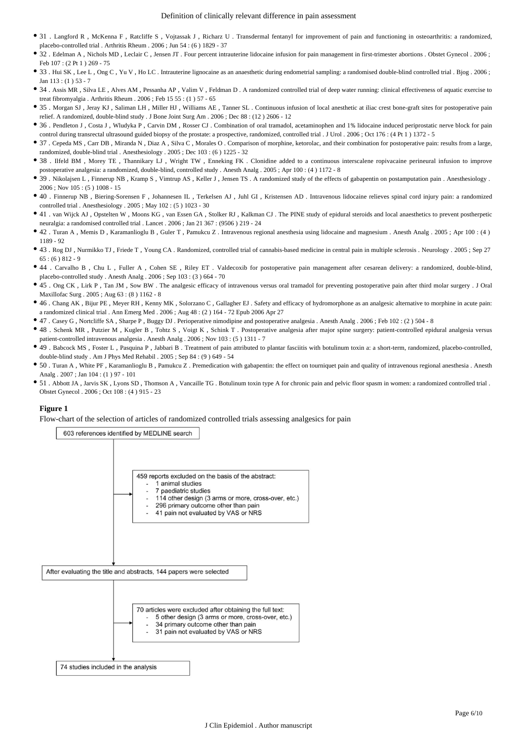- 31 . Langford R , McKenna F , Ratcliffe S , Vojtassak J , Richarz U . Transdermal fentanyl for improvement of pain and functioning in osteoarthritis: a randomized, placebo-controlled trial . Arthritis Rheum . 2006 ; Jun 54 : (6 ) 1829 - 37
- 32 . Edelman A , Nichols MD , Leclair C , Jensen JT . Four percent intrauterine lidocaine infusion for pain management in first-trimester abortions . Obstet Gynecol . 2006 ; Feb 107 : (2 Pt 1 ) 269 - 75
- 33 . Hui SK , Lee L , Ong C , Yu V , Ho LC . Intrauterine lignocaine as an anaesthetic during endometrial sampling: a randomised double-blind controlled trial . Bjog . 2006 ; Jan 113 : (1 ) 53 - 7
- 34 . Assis MR , Silva LE , Alves AM , Pessanha AP , Valim V , Feldman D . A randomized controlled trial of deep water running: clinical effectiveness of aquatic exercise to treat fibromyalgia . Arthritis Rheum . 2006 ; Feb 15 55 : (1 ) 57 - 65
- 35 . Morgan SJ , Jeray KJ , Saliman LH , Miller HJ , Williams AE , Tanner SL . Continuous infusion of local anesthetic at iliac crest bone-graft sites for postoperative pain relief. A randomized, double-blind study . J Bone Joint Surg Am . 2006 ; Dec 88 : (12 ) 2606 - 12
- 36 . Pendleton J , Costa J , Wludyka P , Carvin DM , Rosser CJ . Combination of oral tramadol, acetaminophen and 1% lidocaine induced periprostatic nerve block for pain control during transrectal ultrasound guided biopsy of the prostate: a prospective, randomized, controlled trial . J Urol . 2006 ; Oct 176 : (4 Pt 1 ) 1372 - 5
- 37 . Cepeda MS , Carr DB , Miranda N , Diaz A , Silva C , Morales O . Comparison of morphine, ketorolac, and their combination for postoperative pain: results from a large, randomized, double-blind trial . Anesthesiology . 2005 ; Dec 103 : (6 ) 1225 - 32
- 38 . Ilfeld BM , Morey TE , Thannikary LJ , Wright TW , Enneking FK . Clonidine added to a continuous interscalene ropivacaine perineural infusion to improve postoperative analgesia: a randomized, double-blind, controlled study . Anesth Analg . 2005 ; Apr 100 : (4 ) 1172 - 8
- 39 . Nikolajsen L , Finnerup NB , Kramp S , Vimtrup AS , Keller J , Jensen TS . A randomized study of the effects of gabapentin on postamputation pain . Anesthesiology . 2006 ; Nov 105 : (5 ) 1008 - 15
- 40 . Finnerup NB , Biering-Sorensen F , Johannesen IL , Terkelsen AJ , Juhl GI , Kristensen AD . Intravenous lidocaine relieves spinal cord injury pain: a randomized controlled trial . Anesthesiology . 2005 ; May 102 : (5 ) 1023 - 30
- 41 . van Wijck AJ , Opstelten W , Moons KG , van Essen GA , Stolker RJ , Kalkman CJ . The PINE study of epidural steroids and local anaesthetics to prevent postherpetic neuralgia: a randomised controlled trial . Lancet . 2006 ; Jan 21 367 : (9506 ) 219 - 24
- 42 . Turan A , Memis D , Karamanlioglu B , Guler T , Pamukcu Z . Intravenous regional anesthesia using lidocaine and magnesium . Anesth Analg . 2005 ; Apr 100 : (4 ) 1189 - 92
- 43 . Rog DJ , Nurmikko TJ , Friede T , Young CA . Randomized, controlled trial of cannabis-based medicine in central pain in multiple sclerosis . Neurology . 2005 ; Sep 27  $65: (6) 812 - 9$
- 44 . Carvalho B , Chu L , Fuller A , Cohen SE , Riley ET . Valdecoxib for postoperative pain management after cesarean delivery: a randomized, double-blind, placebo-controlled study . Anesth Analg . 2006 ; Sep 103 : (3 ) 664 - 70
- <sup>•</sup> 45 . Ong CK, Lirk P, Tan JM, Sow BW. The analgesic efficacy of intravenous versus oral tramadol for preventing postoperative pain after third molar surgery . J Oral Maxillofac Surg . 2005 ; Aug 63 : (8 ) 1162 - 8
- 46 . Chang AK , Bijur PE , Meyer RH , Kenny MK , Solorzano C , Gallagher EJ . Safety and efficacy of hydromorphone as an analgesic alternative to morphine in acute pain: a randomized clinical trial . Ann Emerg Med . 2006 ; Aug 48 : (2 ) 164 - 72 Epub 2006 Apr 27
- 47 . Casey G , Nortcliffe SA , Sharpe P , Buggy DJ . Perioperative nimodipine and postoperative analgesia . Anesth Analg . 2006 ; Feb 102 : (2 ) 504 8
- 48 . Schenk MR , Putzier M , Kugler B , Tohtz S , Voigt K , Schink T . Postoperative analgesia after major spine surgery: patient-controlled epidural analgesia versus patient-controlled intravenous analgesia . Anesth Analg . 2006 ; Nov 103 : (5 ) 1311 - 7
- 49 . Babcock MS , Foster L , Pasquina P , Jabbari B . Treatment of pain attributed to plantar fasciitis with botulinum toxin a: a short-term, randomized, placebo-controlled, double-blind study . Am J Phys Med Rehabil . 2005 ; Sep 84 : (9 ) 649 - 54
- 50 . Turan A , White PF , Karamanlioglu B , Pamukcu Z . Premedication with gabapentin: the effect on tourniquet pain and quality of intravenous regional anesthesia . Anesth Analg . 2007 ; Jan 104 : (1 ) 97 - 101
- 51 . Abbott JA , Jarvis SK, Lyons SD, Thomson A, Vancaille TG . Botulinum toxin type A for chronic pain and pelvic floor spasm in women: a randomized controlled trial . Obstet Gynecol . 2006 ; Oct 108 : (4 ) 915 - 23

#### **Figure 1**

Flow-chart of the selection of articles of randomized controlled trials assessing analgesics for pain

603 references identified by MEDLINE search

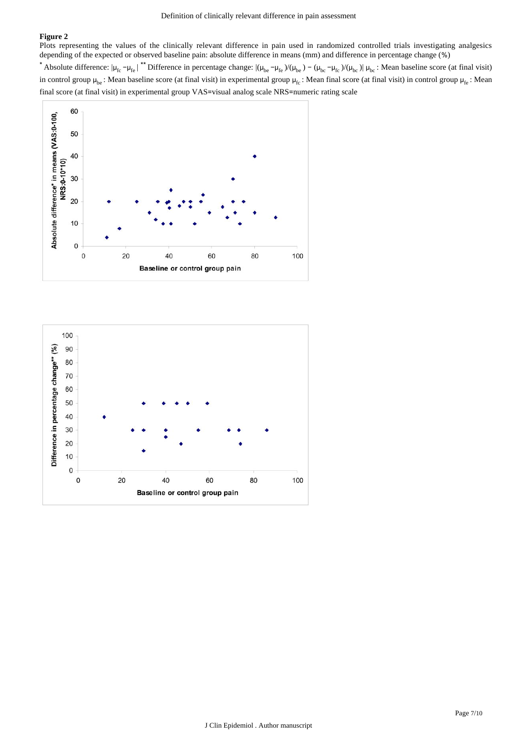## **Figure 2**

Plots representing the values of the clinically relevant difference in pain used in randomized controlled trials investigating analgesics depending of the expected or observed baseline pain: absolute difference in means (mm) and difference in percentage change (%)

Absolute difference:  $|\mu_{fc} - \mu_{fe}|$ <sup>\*\*</sup> Difference in percentage change:  $|(\mu_{be} - \mu_{fe})/(\mu_{be}) - (\mu_{bc} - \mu_{fc})/(\mu_{bc})|$   $\mu_{bc}$ : Mean baseline score (at final visit) in control group  $\mu_{be}$ : Mean baseline score (at final visit) in experimental group  $\mu_{fc}$ : Mean final score (at final visit) in control group  $\mu_{fe}$ : Mean final score (at final visit) in experimental group VAS=visual analog scale NRS=numeric rating scale



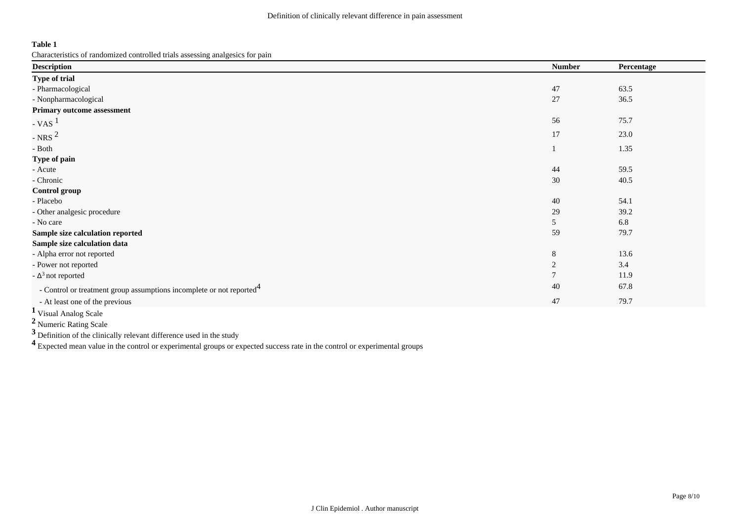**Table 1**

Characteristics of randomized controlled trials assessing analgesics for pain

| <b>Description</b>                                                               | <b>Number</b> | Percentage |
|----------------------------------------------------------------------------------|---------------|------------|
| Type of trial                                                                    |               |            |
| - Pharmacological                                                                | 47            | 63.5       |
| - Nonpharmacological                                                             | 27            | 36.5       |
| Primary outcome assessment                                                       |               |            |
| $- VAS$                                                                          | 56            | 75.7       |
| - NRS $^2$                                                                       | 17            | 23.0       |
| - Both                                                                           |               | 1.35       |
| Type of pain                                                                     |               |            |
| - Acute                                                                          | 44            | 59.5       |
| - Chronic                                                                        | 30            | 40.5       |
| <b>Control group</b>                                                             |               |            |
| - Placebo                                                                        | 40            | 54.1       |
| - Other analgesic procedure                                                      | 29            | 39.2       |
| - No care                                                                        | 5             | 6.8        |
| Sample size calculation reported                                                 | 59            | 79.7       |
| Sample size calculation data                                                     |               |            |
| - Alpha error not reported                                                       | 8             | 13.6       |
| - Power not reported                                                             | 2             | 3.4        |
| - $\Delta^3$ not reported                                                        | $\mathbf{r}$  | 11.9       |
| - Control or treatment group assumptions incomplete or not reported <sup>4</sup> | 40            | 67.8       |
| - At least one of the previous                                                   | 47            | 79.7       |
|                                                                                  |               |            |

<sup>1</sup> Visual Analog Scale

**<sup>2</sup>**Numeric Rating Scale

**3** Definition of the clinically relevant difference used in the study

**<sup>4</sup>**Expected mean value in the control or experimental groups or expected success rate in the control or experimental groups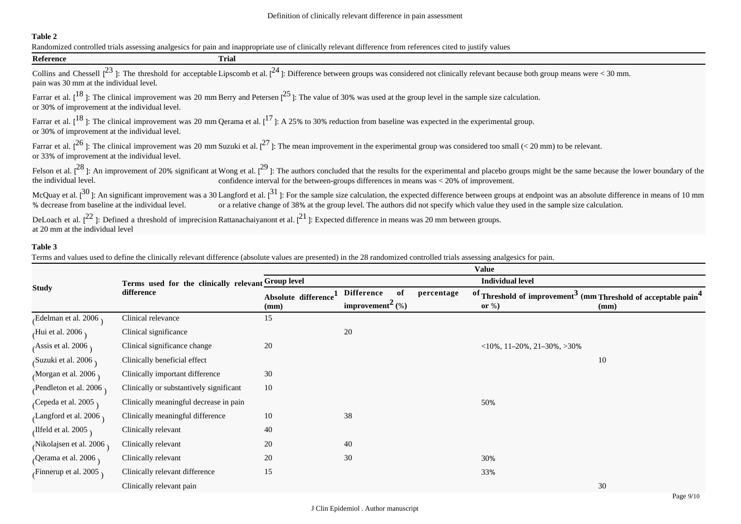## **Table 2**

Randomized controlled trials assessing analgesics for pain and inappropriate use of clinically relevant difference from references cited to justify values

| <b>Reference</b>                                  | Trial                                                                                                                                                 |                                                                                                                                                                                                                                                                                                                                                           |
|---------------------------------------------------|-------------------------------------------------------------------------------------------------------------------------------------------------------|-----------------------------------------------------------------------------------------------------------------------------------------------------------------------------------------------------------------------------------------------------------------------------------------------------------------------------------------------------------|
| pain was 30 mm at the individual level.           |                                                                                                                                                       | Collins and Chessell $\binom{23}{1}$ : The threshold for acceptable Lipscomb et al. $\binom{24}{1}$ : Difference between groups was considered not clinically relevant because both group means were < 30 mm.                                                                                                                                             |
| or 30% of improvement at the individual level.    |                                                                                                                                                       | Farrar et al. $[18]$ : The clinical improvement was 20 mm Berry and Petersen $[25]$ : The value of 30% was used at the group level in the sample size calculation.                                                                                                                                                                                        |
| or 30% of improvement at the individual level.    |                                                                                                                                                       | Farrar et al. $[18]$ : The clinical improvement was 20 mm Qerama et al. $[17]$ : A 25% to 30% reduction from baseline was expected in the experimental group.                                                                                                                                                                                             |
| or 33% of improvement at the individual level.    |                                                                                                                                                       | Farrar et al. [ <sup>26</sup> ]: The clinical improvement was 20 mm Suzuki et al. [ <sup>27</sup> ]: The mean improvement in the experimental group was considered too small (< 20 mm) to be relevant.                                                                                                                                                    |
| the individual level.                             |                                                                                                                                                       | Felson et al. $[28]$ : An improvement of 20% significant at Wong et al. $[29]$ : The authors concluded that the results for the experimental and placebo groups might be the same because the lower boundary of the<br>confidence interval for the between-groups differences in means was $<$ 20% of improvement.                                        |
| % decrease from baseline at the individual level. |                                                                                                                                                       | McQuay et al. $[30]$ : An significant improvement was a 30 Langford et al. $[31]$ : For the sample size calculation, the expected difference between groups at endpoint was an absolute difference in means of 10 mm<br>or a relative change of 38% at the group level. The authors did not specify which value they used in the sample size calculation. |
| at 20 mm at the individual level                  | DeLoach et al. $[2^2]$ : Defined a threshold of imprecision Rattanachaiyanont et al. $[2^1]$ : Expected difference in means was 20 mm between groups. |                                                                                                                                                                                                                                                                                                                                                           |

## **Table 3**

Terms and values used to define the clinically relevant difference (absolute values are presented) in the 28 randomized controlled trials assessing analgesics for pain.

|                                  |                                                                  | <b>Value</b>                |                                                                      |            |                                                                                                     |      |
|----------------------------------|------------------------------------------------------------------|-----------------------------|----------------------------------------------------------------------|------------|-----------------------------------------------------------------------------------------------------|------|
| <b>Study</b>                     | Terms used for the clinically relevant Group level<br>difference | <b>Individual level</b>     |                                                                      |            |                                                                                                     |      |
|                                  |                                                                  | Absolute difference<br>(mm) | <b>Difference</b><br>of<br>improvement <sup><math>2</math></sup> (%) | percentage | of Threshold of improvement <sup>3</sup> (mm Threshold of acceptable pain <sup>4</sup><br>or $\%$ ) | (mm) |
| $E$ delman et al. 2006           | Clinical relevance                                               | 15                          |                                                                      |            |                                                                                                     |      |
| Hui et al. 2006,                 | Clinical significance                                            |                             | 20                                                                   |            |                                                                                                     |      |
| Assis et al. 2006 $\overline{a}$ | Clinical significance change                                     | 20                          |                                                                      |            | $\langle 10\%, 11-20\%, 21-30\%, >30\% \rangle$                                                     |      |
| $\beta$ uzuki et al. 2006        | Clinically beneficial effect                                     |                             |                                                                      |            |                                                                                                     | 10   |
| Morgan et al. 2006,              | Clinically important difference                                  | 30                          |                                                                      |            |                                                                                                     |      |
| Pendleton et al. 2006,           | Clinically or substantively significant                          | 10                          |                                                                      |            |                                                                                                     |      |
| Cepeda et al. 2005,              | Clinically meaningful decrease in pain                           |                             |                                                                      |            | 50%                                                                                                 |      |
| Langford et al. 2006,            | Clinically meaningful difference                                 | 10                          | 38                                                                   |            |                                                                                                     |      |
| Ilfeld et al. 2005               | Clinically relevant                                              | 40                          |                                                                      |            |                                                                                                     |      |
| Nikolajsen et al. 2006 $\lambda$ | Clinically relevant                                              | 20                          | 40                                                                   |            |                                                                                                     |      |
| Qerama et al. 2006,              | Clinically relevant                                              | 20                          | 30                                                                   |            | 30%                                                                                                 |      |
| Finnerup et al. 2005             | Clinically relevant difference                                   | 15                          |                                                                      |            | 33%                                                                                                 |      |
|                                  | Clinically relevant pain                                         |                             |                                                                      |            |                                                                                                     | 30   |